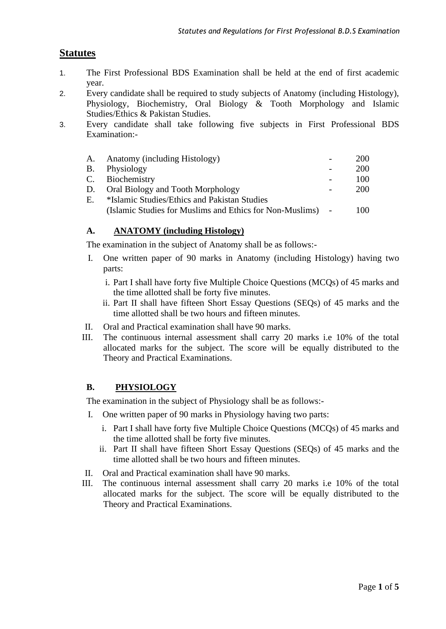# **Statutes**

- 1. The First Professional BDS Examination shall be held at the end of first academic year.
- 2. Every candidate shall be required to study subjects of Anatomy (including Histology), Physiology, Biochemistry, Oral Biology & Tooth Morphology and Islamic Studies/Ethics & Pakistan Studies.
- 3. Every candidate shall take following five subjects in First Professional BDS Examination:-

| A.        | Anatomy (including Histology)                              | 200 |
|-----------|------------------------------------------------------------|-----|
| <b>B.</b> | Physiology                                                 | 200 |
|           | C. Biochemistry                                            | 100 |
| D.        | Oral Biology and Tooth Morphology                          | 200 |
| E.        | *Islamic Studies/Ethics and Pakistan Studies               |     |
|           | (Islamic Studies for Muslims and Ethics for Non-Muslims) - | 100 |

## **A. ANATOMY (including Histology)**

The examination in the subject of Anatomy shall be as follows:-

- I. One written paper of 90 marks in Anatomy (including Histology) having two parts:
	- i. Part I shall have forty five Multiple Choice Questions (MCQs) of 45 marks and the time allotted shall be forty five minutes.
	- ii. Part II shall have fifteen Short Essay Questions (SEQs) of 45 marks and the time allotted shall be two hours and fifteen minutes.
- II. Oral and Practical examination shall have 90 marks.
- III. The continuous internal assessment shall carry 20 marks i.e 10% of the total allocated marks for the subject. The score will be equally distributed to the Theory and Practical Examinations.

## **B. PHYSIOLOGY**

The examination in the subject of Physiology shall be as follows:-

- I. One written paper of 90 marks in Physiology having two parts:
	- i. Part I shall have forty five Multiple Choice Questions (MCQs) of 45 marks and the time allotted shall be forty five minutes.
	- ii. Part II shall have fifteen Short Essay Questions (SEQs) of 45 marks and the time allotted shall be two hours and fifteen minutes.
- II. Oral and Practical examination shall have 90 marks.
- III. The continuous internal assessment shall carry 20 marks i.e 10% of the total allocated marks for the subject. The score will be equally distributed to the Theory and Practical Examinations.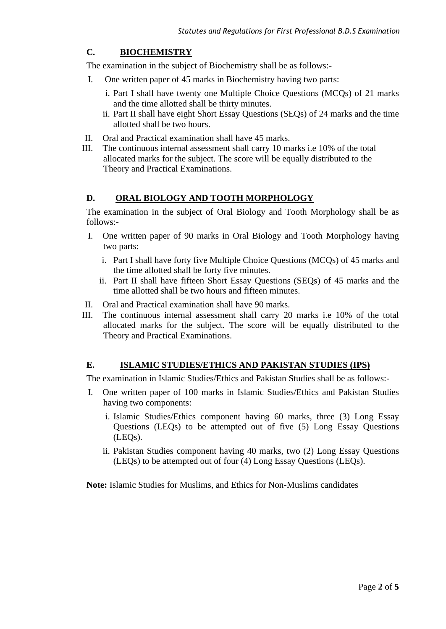## **C. BIOCHEMISTRY**

The examination in the subject of Biochemistry shall be as follows:-

- I. One written paper of 45 marks in Biochemistry having two parts:
	- i. Part I shall have twenty one Multiple Choice Questions (MCQs) of 21 marks and the time allotted shall be thirty minutes.
	- ii. Part II shall have eight Short Essay Questions (SEQs) of 24 marks and the time allotted shall be two hours.
- II. Oral and Practical examination shall have 45 marks.
- III. The continuous internal assessment shall carry 10 marks i.e 10% of the total allocated marks for the subject. The score will be equally distributed to the Theory and Practical Examinations.

### **D. ORAL BIOLOGY AND TOOTH MORPHOLOGY**

The examination in the subject of Oral Biology and Tooth Morphology shall be as follows:-

- I. One written paper of 90 marks in Oral Biology and Tooth Morphology having two parts:
	- i. Part I shall have forty five Multiple Choice Questions (MCQs) of 45 marks and the time allotted shall be forty five minutes.
	- ii. Part II shall have fifteen Short Essay Questions (SEQs) of 45 marks and the time allotted shall be two hours and fifteen minutes.
- II. Oral and Practical examination shall have 90 marks.
- III. The continuous internal assessment shall carry 20 marks i.e 10% of the total allocated marks for the subject. The score will be equally distributed to the Theory and Practical Examinations.

### **E. ISLAMIC STUDIES/ETHICS AND PAKISTAN STUDIES (IPS)**

The examination in Islamic Studies/Ethics and Pakistan Studies shall be as follows:-

- I. One written paper of 100 marks in Islamic Studies/Ethics and Pakistan Studies having two components:
	- i. Islamic Studies/Ethics component having 60 marks, three (3) Long Essay Questions (LEQs) to be attempted out of five (5) Long Essay Questions (LEQs).
	- ii. Pakistan Studies component having 40 marks, two (2) Long Essay Questions (LEQs) to be attempted out of four (4) Long Essay Questions (LEQs).

**Note:** Islamic Studies for Muslims, and Ethics for Non-Muslims candidates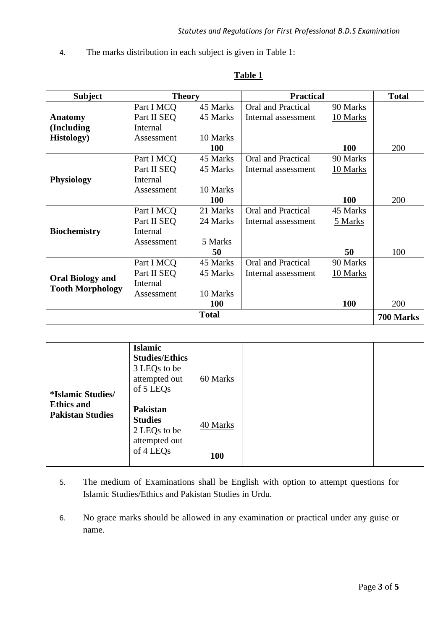4. The marks distribution in each subject is given in Table 1:

| <b>Subject</b>          |             | <b>Theory</b> | <b>Practical</b>    |            | <b>Total</b> |
|-------------------------|-------------|---------------|---------------------|------------|--------------|
|                         | Part I MCO  | 45 Marks      | Oral and Practical  | 90 Marks   |              |
| <b>Anatomy</b>          | Part II SEQ | 45 Marks      | Internal assessment | 10 Marks   |              |
| (Including              | Internal    |               |                     |            |              |
| <b>Histology</b> )      | Assessment  | 10 Marks      |                     |            |              |
|                         |             | 100           |                     | 100        | 200          |
|                         | Part I MCQ  | 45 Marks      | Oral and Practical  | 90 Marks   |              |
|                         | Part II SEQ | 45 Marks      | Internal assessment | 10 Marks   |              |
| <b>Physiology</b>       | Internal    |               |                     |            |              |
|                         | Assessment  | 10 Marks      |                     |            |              |
|                         |             | <b>100</b>    |                     | <b>100</b> | 200          |
|                         | Part I MCQ  | 21 Marks      | Oral and Practical  | 45 Marks   |              |
|                         | Part II SEQ | 24 Marks      | Internal assessment | 5 Marks    |              |
| <b>Biochemistry</b>     | Internal    |               |                     |            |              |
|                         | Assessment  | 5 Marks       |                     |            |              |
|                         |             | 50            |                     | 50         | 100          |
|                         | Part I MCQ  | 45 Marks      | Oral and Practical  | 90 Marks   |              |
| <b>Oral Biology and</b> | Part II SEQ | 45 Marks      | Internal assessment | 10 Marks   |              |
| <b>Tooth Morphology</b> | Internal    |               |                     |            |              |
|                         | Assessment  | 10 Marks      |                     |            |              |
|                         |             | <b>100</b>    |                     | <b>100</b> | 200          |
|                         |             | <b>Total</b>  |                     |            | 700 Marks    |

### **Table 1**

| <i><b>*Islamic Studies/</b></i>              | <b>Islamic</b><br><b>Studies/Ethics</b><br>3 LEQs to be<br>attempted out<br>of 5 LEQ <sub>s</sub> | 60 Marks   |
|----------------------------------------------|---------------------------------------------------------------------------------------------------|------------|
| <b>Ethics and</b><br><b>Pakistan Studies</b> | <b>Pakistan</b><br><b>Studies</b><br>2 LEQs to be<br>attempted out                                | 40 Marks   |
|                                              | of 4 LEQ <sub>s</sub>                                                                             | <b>100</b> |

- 5. The medium of Examinations shall be English with option to attempt questions for Islamic Studies/Ethics and Pakistan Studies in Urdu.
- 6. No grace marks should be allowed in any examination or practical under any guise or name.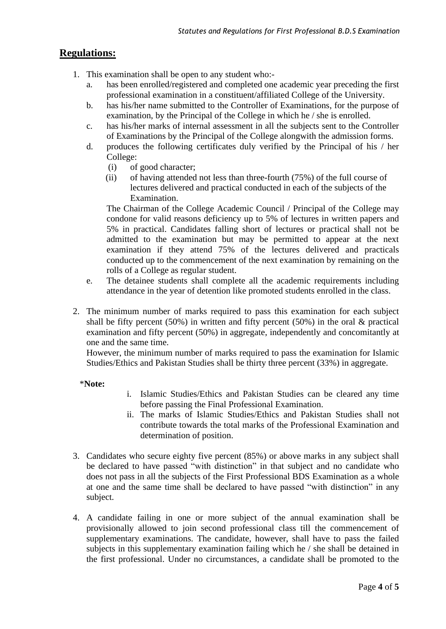# **Regulations:**

- 1. This examination shall be open to any student who:
	- a. has been enrolled/registered and completed one academic year preceding the first professional examination in a constituent/affiliated College of the University.
	- b. has his/her name submitted to the Controller of Examinations, for the purpose of examination, by the Principal of the College in which he / she is enrolled.
	- c. has his/her marks of internal assessment in all the subjects sent to the Controller of Examinations by the Principal of the College alongwith the admission forms.
	- d. produces the following certificates duly verified by the Principal of his / her College:
		- (i) of good character;
		- (ii) of having attended not less than three-fourth (75%) of the full course of lectures delivered and practical conducted in each of the subjects of the Examination.

The Chairman of the College Academic Council / Principal of the College may condone for valid reasons deficiency up to 5% of lectures in written papers and 5% in practical. Candidates falling short of lectures or practical shall not be admitted to the examination but may be permitted to appear at the next examination if they attend 75% of the lectures delivered and practicals conducted up to the commencement of the next examination by remaining on the rolls of a College as regular student.

- e. The detainee students shall complete all the academic requirements including attendance in the year of detention like promoted students enrolled in the class.
- 2. The minimum number of marks required to pass this examination for each subject shall be fifty percent (50%) in written and fifty percent (50%) in the oral  $\&$  practical examination and fifty percent (50%) in aggregate, independently and concomitantly at one and the same time.

However, the minimum number of marks required to pass the examination for Islamic Studies/Ethics and Pakistan Studies shall be thirty three percent (33%) in aggregate.

\***Note:**

- i. Islamic Studies/Ethics and Pakistan Studies can be cleared any time before passing the Final Professional Examination.
- ii. The marks of Islamic Studies/Ethics and Pakistan Studies shall not contribute towards the total marks of the Professional Examination and determination of position.
- 3. Candidates who secure eighty five percent (85%) or above marks in any subject shall be declared to have passed "with distinction" in that subject and no candidate who does not pass in all the subjects of the First Professional BDS Examination as a whole at one and the same time shall be declared to have passed "with distinction" in any subject.
- 4. A candidate failing in one or more subject of the annual examination shall be provisionally allowed to join second professional class till the commencement of supplementary examinations. The candidate, however, shall have to pass the failed subjects in this supplementary examination failing which he / she shall be detained in the first professional. Under no circumstances, a candidate shall be promoted to the